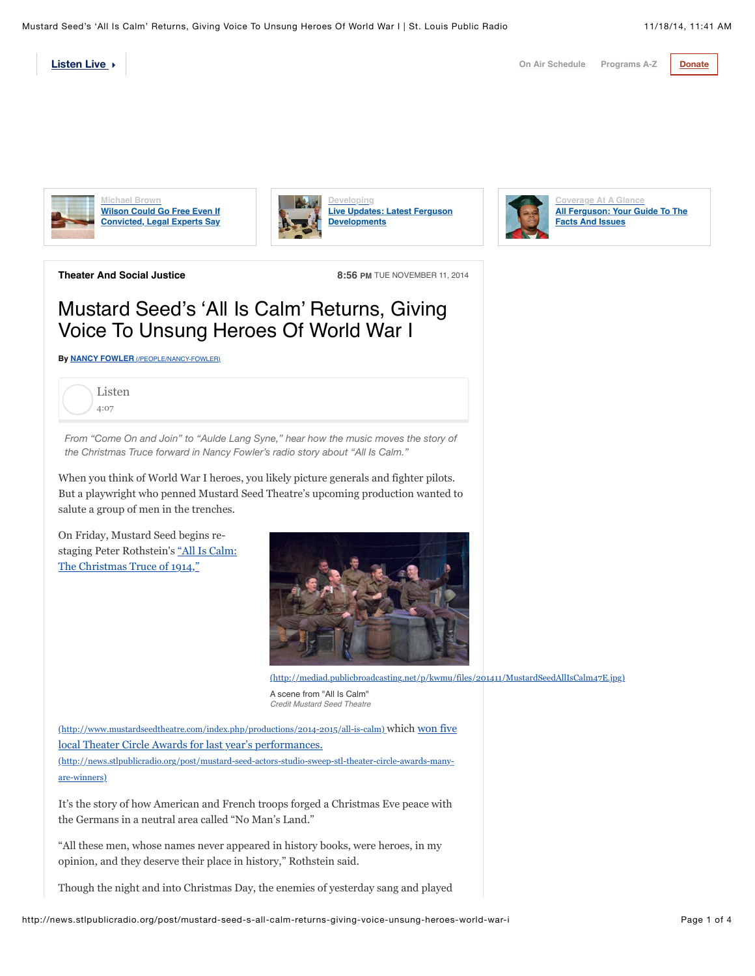**[On Air Schedule](http://www.news.stlpublicradio.org/schedule) [Programs A-Z](http://news.stlpublicradio.org/programs) [Donate](http://bit.ly/1g3ojpv)** 

**[Listen Live](http://news.stlpublicradio.org/post/mustard-seed-s-all-calm-returns-giving-voice-unsung-heroes-world-war-i#)** 

**Michael Brown Wilson Could Go Free Even If [Convicted, Legal Experts Say](http://news.stlpublicradio.org/post/wilson-could-go-free-even-if-convicted-legal-experts-say)**





**Overage At A Glance [All Ferguson: Your Guide To The](http://news.stlpublicradio.org/post/all-ferguson-your-guide-facts-and-issues) Facts And Issues**

**Theater And Social Justice 8:56 PM** TUE NOVEMBER 11, 2014

## Mustard Seed's 'All Is Calm' Returns, Giving Voice To Unsung Heroes Of World War I

**By NANCY FOWLER** [\(/PEOPLE/NANCY-FOWLER\)](http://news.stlpublicradio.org/people/nancy-fowler)



*From "Come On and Join" to "Aulde Lang Syne," hear how the music moves the story of the Christmas Truce forward in Nancy Fowler's radio story about "All Is Calm."*

When you think of World War I heroes, you likely picture generals and fighter pilots. But a playwright who penned Mustard Seed Theatre's upcoming production wanted to salute a group of men in the trenches.

On Friday, Mustard Seed begins restaging Peter Rothstein's "All Is Calm: The Christmas Truce of 1914,"



[\(http://mediad.publicbroadcasting.net/p/kwmu/files/201411/MustardSeedAllIsCalm47E.jpg\)](http://mediad.publicbroadcasting.net/p/kwmu/files/201411/MustardSeedAllIsCalm47E.jpg)

A scene from "All Is Calm" *Credit Mustard Seed Theatre*

[\(http://www.mustardseedtheatre.com/index.php/productions/2014-2015/all-is-calm\)](http://www.mustardseedtheatre.com/index.php/productions/2014-2015/all-is-calm) [which won five](http://news.stlpublicradio.org/post/mustard-seed-actors-studio-sweep-stl-theater-circle-awards-many-are-winners) local Theater Circle Awards for last year's performances. (http://news.stlpublicradio.org/post/mustard-seed-actors-studio-sweep-stl-theater-circle-awards-manyare-winners)

It's the story of how American and French troops forged a Christmas Eve peace with the Germans in a neutral area called "No Man's Land."

"All these men, whose names never appeared in history books, were heroes, in my opinion, and they deserve their place in history," Rothstein said.

Though the night and into Christmas Day, the enemies of yesterday sang and played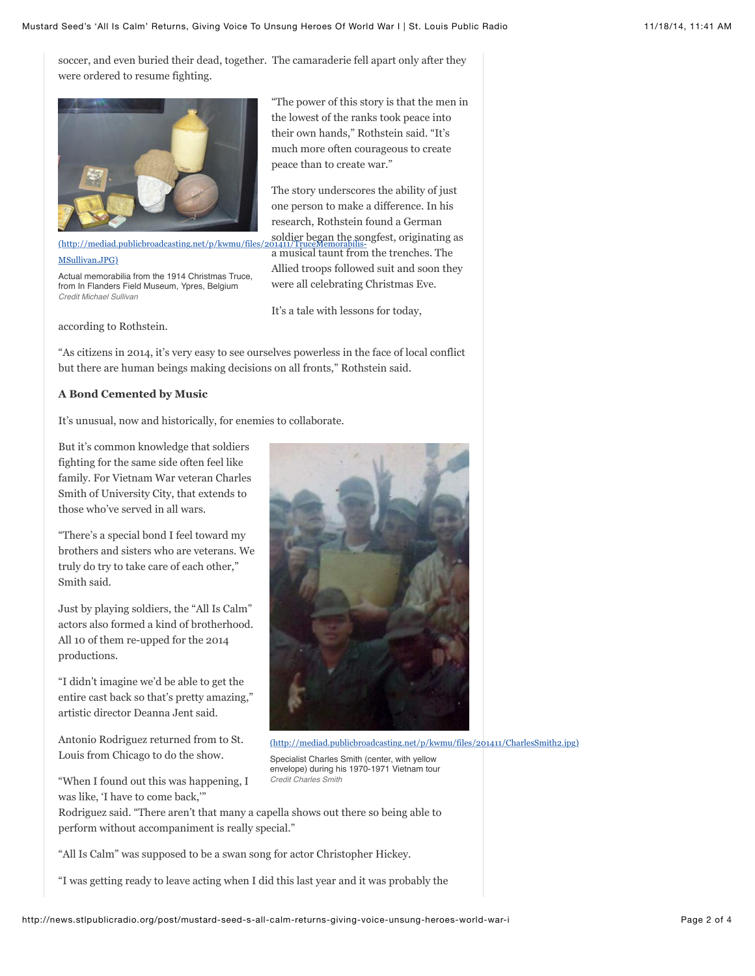soccer, and even buried their dead, together. The camaraderie fell apart only after they were ordered to resume fighting.



(http://mediad.publicbroadcasting.net/p/kwmu/files/2 MSullivan.JPG)

Actual memorabilia from the 1914 Christmas Truce, from In Flanders Field Museum, Ypres, Belgium *Credit Michael Sullivan*

according to Rothstein.

"The power of this story is that the men in the lowest of the ranks took peace into their own hands," Rothstein said. "It's much more often courageous to create peace than to create war."

The story underscores the ability of just one person to make a difference. In his research, Rothstein found a German soldier began the songfest, originating as a musical taunt from the trenches. The

Allied troops followed suit and soon they were all celebrating Christmas Eve.

It's a tale with lessons for today,

"As citizens in 2014, it's very easy to see ourselves powerless in the face of local conflict but there are human beings making decisions on all fronts," Rothstein said.

## **A Bond Cemented by Music**

It's unusual, now and historically, for enemies to collaborate.

But it's common knowledge that soldiers fighting for the same side often feel like family. For Vietnam War veteran Charles Smith of University City, that extends to those who've served in all wars.

"There's a special bond I feel toward my brothers and sisters who are veterans. We truly do try to take care of each other," Smith said.

Just by playing soldiers, the "All Is Calm" actors also formed a kind of brotherhood. All 10 of them re-upped for the 2014 productions.

"I didn't imagine we'd be able to get the entire cast back so that's pretty amazing," artistic director Deanna Jent said.

Antonio Rodriguez returned from to St. Louis from Chicago to do the show.

"When I found out this was happening, I was like, 'I have to come back,'"



[\(http://mediad.publicbroadcasting.net/p/kwmu/files/201411/CharlesSmith2.jpg\)](http://mediad.publicbroadcasting.net/p/kwmu/files/201411/CharlesSmith2.jpg)

Specialist Charles Smith (center, with yellow envelope) during his 1970-1971 Vietnam tour *Credit Charles Smith*

Rodriguez said. "There aren't that many a capella shows out there so being able to perform without accompaniment is really special."

"All Is Calm" was supposed to be a swan song for actor Christopher Hickey.

"I was getting ready to leave acting when I did this last year and it was probably the